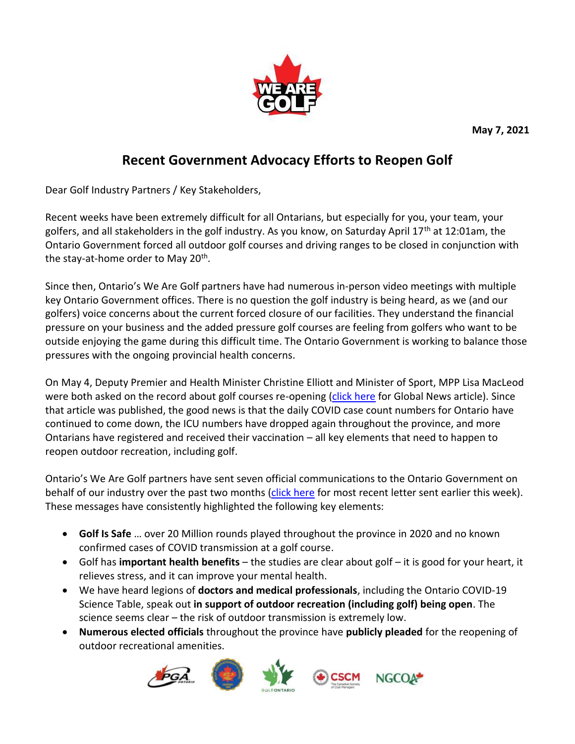**May 7, 2021**



## **Recent Government Advocacy Efforts to Reopen Golf**

Dear Golf Industry Partners / Key Stakeholders,

Recent weeks have been extremely difficult for all Ontarians, but especially for you, your team, your golfers, and all stakeholders in the golf industry. As you know, on Saturday April 17<sup>th</sup> at 12:01am, the Ontario Government forced all outdoor golf courses and driving ranges to be closed in conjunction with the stay-at-home order to May 20<sup>th</sup>.

Since then, Ontario's We Are Golf partners have had numerous in-person video meetings with multiple key Ontario Government offices. There is no question the golf industry is being heard, as we (and our golfers) voice concerns about the current forced closure of our facilities. They understand the financial pressure on your business and the added pressure golf courses are feeling from golfers who want to be outside enjoying the game during this difficult time. The Ontario Government is working to balance those pressures with the ongoing provincial health concerns.

On May 4, Deputy Premier and Health Minister Christine Elliott and Minister of Sport, MPP Lisa MacLeod were both asked on the record about golf courses re-opening [\(click here](https://globalnews.ca/news/7834048/ontario-outdoor-facilities-to-stay-closed-until-covid-cases-drop/) for Global News article). Since that article was published, the good news is that the daily COVID case count numbers for Ontario have continued to come down, the ICU numbers have dropped again throughout the province, and more Ontarians have registered and received their vaccination – all key elements that need to happen to reopen outdoor recreation, including golf.

Ontario's We Are Golf partners have sent seven official communications to the Ontario Government on behalf of our industry over the past two months [\(click here](https://files.constantcontact.com/9aa75897501/6c859a47-db3f-4bc0-8b86-ad75bc5b01d2.pdf) for most recent letter sent earlier this week). These messages have consistently highlighted the following key elements:

- **Golf Is Safe** … over 20 Million rounds played throughout the province in 2020 and no known confirmed cases of COVID transmission at a golf course.
- Golf has **important health benefits** the studies are clear about golf it is good for your heart, it relieves stress, and it can improve your mental health.
- We have heard legions of **doctors and medical professionals**, including the Ontario COVID-19 Science Table, speak out **in support of outdoor recreation (including golf) being open**. The science seems clear – the risk of outdoor transmission is extremely low.
- **Numerous elected officials** throughout the province have **publicly pleaded** for the reopening of outdoor recreational amenities.

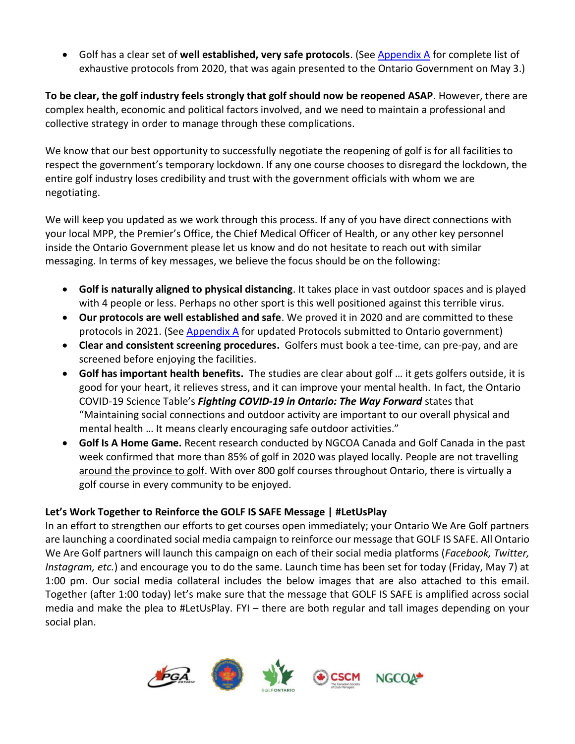Golf has a clear set of **well established, very safe protocols**. (See [Appendix A](https://files.constantcontact.com/9aa75897501/aababceb-5ba4-4afd-862f-bc5920e28f5a.pdf) for complete list of exhaustive protocols from 2020, that was again presented to the Ontario Government on May 3.)

**To be clear, the golf industry feels strongly that golf should now be reopened ASAP**. However, there are complex health, economic and political factors involved, and we need to maintain a professional and collective strategy in order to manage through these complications.

We know that our best opportunity to successfully negotiate the reopening of golf is for all facilities to respect the government's temporary lockdown. If any one course chooses to disregard the lockdown, the entire golf industry loses credibility and trust with the government officials with whom we are negotiating.

We will keep you updated as we work through this process. If any of you have direct connections with your local MPP, the Premier's Office, the Chief Medical Officer of Health, or any other key personnel inside the Ontario Government please let us know and do not hesitate to reach out with similar messaging. In terms of key messages, we believe the focus should be on the following:

- **Golf is naturally aligned to physical distancing**. It takes place in vast outdoor spaces and is played with 4 people or less. Perhaps no other sport is this well positioned against this terrible virus.
- **Our protocols are well established and safe**. We proved it in 2020 and are committed to these protocols in 2021. (Se[e Appendix A](https://files.constantcontact.com/9aa75897501/aababceb-5ba4-4afd-862f-bc5920e28f5a.pdf) for updated Protocols submitted to Ontario government)
- **Clear and consistent screening procedures.** Golfers must book a tee-time, can pre-pay, and are screened before enjoying the facilities.
- **Golf has important health benefits.** The studies are clear about golf … it gets golfers outside, it is good for your heart, it relieves stress, and it can improve your mental health. In fact, the Ontario COVID-19 Science Table's *Fighting COVID-19 in Ontario: The Way Forward* states that "Maintaining social connections and outdoor activity are important to our overall physical and mental health … It means clearly encouraging safe outdoor activities."
- **Golf Is A Home Game.** Recent research conducted by NGCOA Canada and Golf Canada in the past week confirmed that more than 85% of golf in 2020 was played locally. People are not travelling around the province to golf. With over 800 golf courses throughout Ontario, there is virtually a golf course in every community to be enjoyed.

## **Let's Work Together to Reinforce the GOLF IS SAFE Message | #LetUsPlay**

In an effort to strengthen our efforts to get courses open immediately; your Ontario We Are Golf partners are launching a coordinated social media campaign to reinforce our message that GOLF IS SAFE. All Ontario We Are Golf partners will launch this campaign on each of their social media platforms (*Facebook, Twitter, Instagram, etc.*) and encourage you to do the same. Launch time has been set for today (Friday, May 7) at 1:00 pm. Our social media collateral includes the below images that are also attached to this email. Together (after 1:00 today) let's make sure that the message that GOLF IS SAFE is amplified across social media and make the plea to #LetUsPlay. FYI – there are both regular and tall images depending on your social plan.

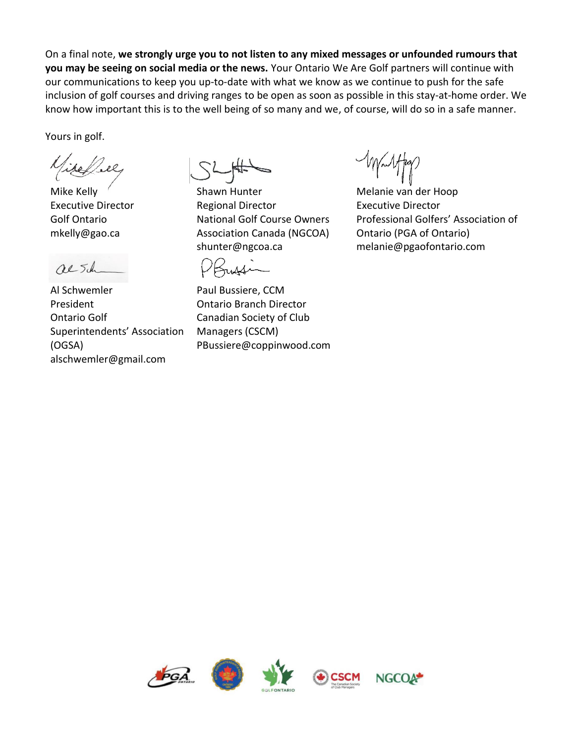On a final note, **we strongly urge you to not listen to any mixed messages or unfounded rumours that you may be seeing on social media or the news.** Your Ontario We Are Golf partners will continue with our communications to keep you up-to-date with what we know as we continue to push for the safe inclusion of golf courses and driving ranges to be open as soon as possible in this stay-at-home order. We know how important this is to the well being of so many and we, of course, will do so in a safe manner.

Yours in golf.

Mike Kelly Executive Director Golf Ontario mkelly@gao.ca

alsh

Al Schwemler President Ontario Golf Superintendents' Association (OGSA) alschwemler@gmail.com

Shawn Hunter Regional Director National Golf Course Owners Association Canada (NGCOA) shunter@ngcoa.ca

Krussen

Paul Bussiere, CCM Ontario Branch Director Canadian Society of Club Managers (CSCM) PBussiere@coppinwood.com

Melanie van der Hoop Executive Director Professional Golfers' Association of Ontario (PGA of Ontario) melanie@pgaofontario.com

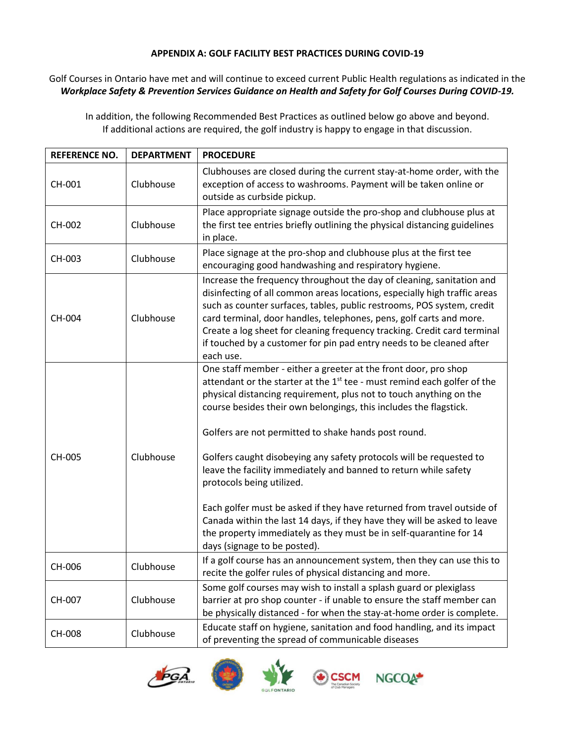## **APPENDIX A: GOLF FACILITY BEST PRACTICES DURING COVID-19**

## Golf Courses in Ontario have met and will continue to exceed current Public Health regulations as indicated in the *Workplace Safety & Prevention Services Guidance on Health and Safety for Golf Courses During COVID-19.*

In addition, the following Recommended Best Practices as outlined below go above and beyond. If additional actions are required, the golf industry is happy to engage in that discussion.

| <b>REFERENCE NO.</b> | <b>DEPARTMENT</b> | <b>PROCEDURE</b>                                                                                                                                                                                                                                                                                                                                                                                                                                                                                                                                                                                                                                                                                                                                                                     |
|----------------------|-------------------|--------------------------------------------------------------------------------------------------------------------------------------------------------------------------------------------------------------------------------------------------------------------------------------------------------------------------------------------------------------------------------------------------------------------------------------------------------------------------------------------------------------------------------------------------------------------------------------------------------------------------------------------------------------------------------------------------------------------------------------------------------------------------------------|
| CH-001               | Clubhouse         | Clubhouses are closed during the current stay-at-home order, with the<br>exception of access to washrooms. Payment will be taken online or<br>outside as curbside pickup.                                                                                                                                                                                                                                                                                                                                                                                                                                                                                                                                                                                                            |
| CH-002               | Clubhouse         | Place appropriate signage outside the pro-shop and clubhouse plus at<br>the first tee entries briefly outlining the physical distancing guidelines<br>in place.                                                                                                                                                                                                                                                                                                                                                                                                                                                                                                                                                                                                                      |
| CH-003               | Clubhouse         | Place signage at the pro-shop and clubhouse plus at the first tee<br>encouraging good handwashing and respiratory hygiene.                                                                                                                                                                                                                                                                                                                                                                                                                                                                                                                                                                                                                                                           |
| CH-004               | Clubhouse         | Increase the frequency throughout the day of cleaning, sanitation and<br>disinfecting of all common areas locations, especially high traffic areas<br>such as counter surfaces, tables, public restrooms, POS system, credit<br>card terminal, door handles, telephones, pens, golf carts and more.<br>Create a log sheet for cleaning frequency tracking. Credit card terminal<br>if touched by a customer for pin pad entry needs to be cleaned after<br>each use.                                                                                                                                                                                                                                                                                                                 |
| CH-005               | Clubhouse         | One staff member - either a greeter at the front door, pro shop<br>attendant or the starter at the $1st$ tee - must remind each golfer of the<br>physical distancing requirement, plus not to touch anything on the<br>course besides their own belongings, this includes the flagstick.<br>Golfers are not permitted to shake hands post round.<br>Golfers caught disobeying any safety protocols will be requested to<br>leave the facility immediately and banned to return while safety<br>protocols being utilized.<br>Each golfer must be asked if they have returned from travel outside of<br>Canada within the last 14 days, if they have they will be asked to leave<br>the property immediately as they must be in self-quarantine for 14<br>days (signage to be posted). |
| CH-006               | Clubhouse         | If a golf course has an announcement system, then they can use this to<br>recite the golfer rules of physical distancing and more.                                                                                                                                                                                                                                                                                                                                                                                                                                                                                                                                                                                                                                                   |
| CH-007               | Clubhouse         | Some golf courses may wish to install a splash guard or plexiglass<br>barrier at pro shop counter - if unable to ensure the staff member can<br>be physically distanced - for when the stay-at-home order is complete.                                                                                                                                                                                                                                                                                                                                                                                                                                                                                                                                                               |
| CH-008               | Clubhouse         | Educate staff on hygiene, sanitation and food handling, and its impact<br>of preventing the spread of communicable diseases                                                                                                                                                                                                                                                                                                                                                                                                                                                                                                                                                                                                                                                          |







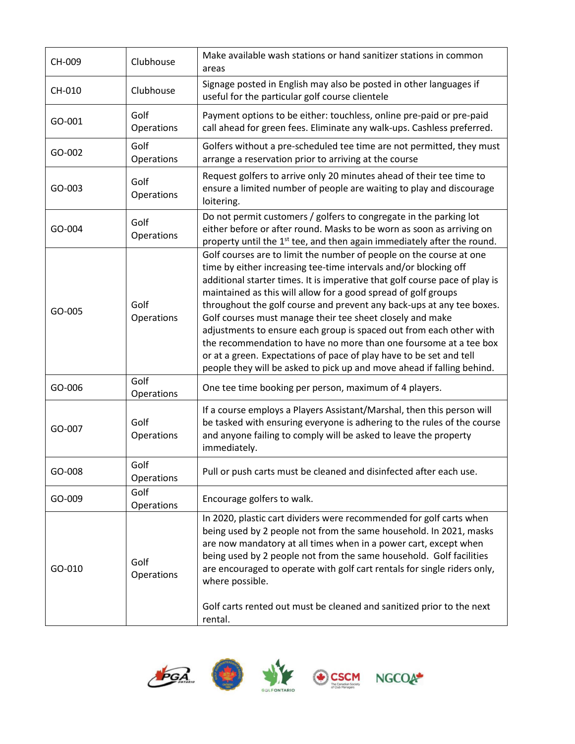| CH-009 | Clubhouse          | Make available wash stations or hand sanitizer stations in common<br>areas                                                                                                                                                                                                                                                                                                                                                                                                                                                                                                                                                                                                                                                  |
|--------|--------------------|-----------------------------------------------------------------------------------------------------------------------------------------------------------------------------------------------------------------------------------------------------------------------------------------------------------------------------------------------------------------------------------------------------------------------------------------------------------------------------------------------------------------------------------------------------------------------------------------------------------------------------------------------------------------------------------------------------------------------------|
| CH-010 | Clubhouse          | Signage posted in English may also be posted in other languages if<br>useful for the particular golf course clientele                                                                                                                                                                                                                                                                                                                                                                                                                                                                                                                                                                                                       |
| GO-001 | Golf<br>Operations | Payment options to be either: touchless, online pre-paid or pre-paid<br>call ahead for green fees. Eliminate any walk-ups. Cashless preferred.                                                                                                                                                                                                                                                                                                                                                                                                                                                                                                                                                                              |
| GO-002 | Golf<br>Operations | Golfers without a pre-scheduled tee time are not permitted, they must<br>arrange a reservation prior to arriving at the course                                                                                                                                                                                                                                                                                                                                                                                                                                                                                                                                                                                              |
| GO-003 | Golf<br>Operations | Request golfers to arrive only 20 minutes ahead of their tee time to<br>ensure a limited number of people are waiting to play and discourage<br>loitering.                                                                                                                                                                                                                                                                                                                                                                                                                                                                                                                                                                  |
| GO-004 | Golf<br>Operations | Do not permit customers / golfers to congregate in the parking lot<br>either before or after round. Masks to be worn as soon as arriving on<br>property until the 1 <sup>st</sup> tee, and then again immediately after the round.                                                                                                                                                                                                                                                                                                                                                                                                                                                                                          |
| GO-005 | Golf<br>Operations | Golf courses are to limit the number of people on the course at one<br>time by either increasing tee-time intervals and/or blocking off<br>additional starter times. It is imperative that golf course pace of play is<br>maintained as this will allow for a good spread of golf groups<br>throughout the golf course and prevent any back-ups at any tee boxes.<br>Golf courses must manage their tee sheet closely and make<br>adjustments to ensure each group is spaced out from each other with<br>the recommendation to have no more than one foursome at a tee box<br>or at a green. Expectations of pace of play have to be set and tell<br>people they will be asked to pick up and move ahead if falling behind. |
| GO-006 | Golf<br>Operations | One tee time booking per person, maximum of 4 players.                                                                                                                                                                                                                                                                                                                                                                                                                                                                                                                                                                                                                                                                      |
| GO-007 | Golf<br>Operations | If a course employs a Players Assistant/Marshal, then this person will<br>be tasked with ensuring everyone is adhering to the rules of the course<br>and anyone failing to comply will be asked to leave the property<br>immediately.                                                                                                                                                                                                                                                                                                                                                                                                                                                                                       |
| GO-008 | Golf<br>Operations | Pull or push carts must be cleaned and disinfected after each use.                                                                                                                                                                                                                                                                                                                                                                                                                                                                                                                                                                                                                                                          |
| GO-009 | Golf<br>Operations | Encourage golfers to walk.                                                                                                                                                                                                                                                                                                                                                                                                                                                                                                                                                                                                                                                                                                  |
| GO-010 | Golf<br>Operations | In 2020, plastic cart dividers were recommended for golf carts when<br>being used by 2 people not from the same household. In 2021, masks<br>are now mandatory at all times when in a power cart, except when<br>being used by 2 people not from the same household. Golf facilities<br>are encouraged to operate with golf cart rentals for single riders only,<br>where possible.<br>Golf carts rented out must be cleaned and sanitized prior to the next<br>rental.                                                                                                                                                                                                                                                     |







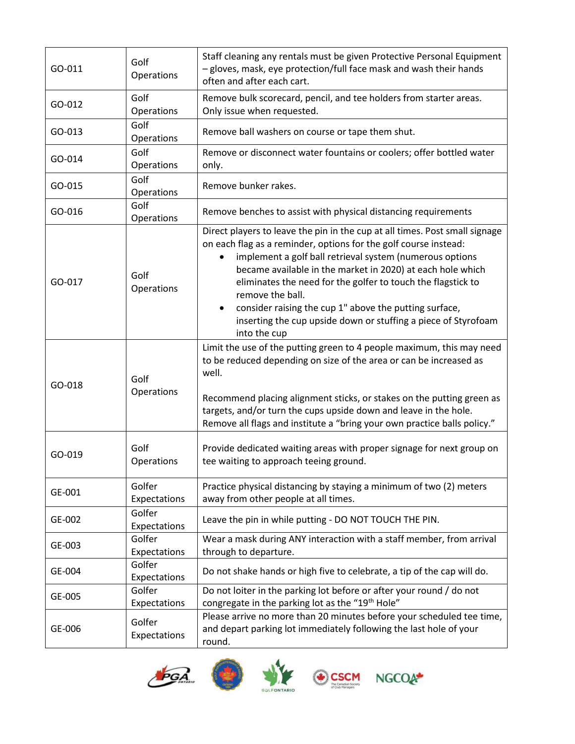| GO-011 | Golf<br>Operations     | Staff cleaning any rentals must be given Protective Personal Equipment<br>- gloves, mask, eye protection/full face mask and wash their hands<br>often and after each cart.                                                                                                                                                                                                                                                                                                                                     |
|--------|------------------------|----------------------------------------------------------------------------------------------------------------------------------------------------------------------------------------------------------------------------------------------------------------------------------------------------------------------------------------------------------------------------------------------------------------------------------------------------------------------------------------------------------------|
| GO-012 | Golf<br>Operations     | Remove bulk scorecard, pencil, and tee holders from starter areas.<br>Only issue when requested.                                                                                                                                                                                                                                                                                                                                                                                                               |
| GO-013 | Golf<br>Operations     | Remove ball washers on course or tape them shut.                                                                                                                                                                                                                                                                                                                                                                                                                                                               |
| GO-014 | Golf<br>Operations     | Remove or disconnect water fountains or coolers; offer bottled water<br>only.                                                                                                                                                                                                                                                                                                                                                                                                                                  |
| GO-015 | Golf<br>Operations     | Remove bunker rakes.                                                                                                                                                                                                                                                                                                                                                                                                                                                                                           |
| GO-016 | Golf<br>Operations     | Remove benches to assist with physical distancing requirements                                                                                                                                                                                                                                                                                                                                                                                                                                                 |
| GO-017 | Golf<br>Operations     | Direct players to leave the pin in the cup at all times. Post small signage<br>on each flag as a reminder, options for the golf course instead:<br>implement a golf ball retrieval system (numerous options<br>became available in the market in 2020) at each hole which<br>eliminates the need for the golfer to touch the flagstick to<br>remove the ball.<br>consider raising the cup 1" above the putting surface,<br>٠<br>inserting the cup upside down or stuffing a piece of Styrofoam<br>into the cup |
| GO-018 | Golf<br>Operations     | Limit the use of the putting green to 4 people maximum, this may need<br>to be reduced depending on size of the area or can be increased as<br>well.<br>Recommend placing alignment sticks, or stakes on the putting green as<br>targets, and/or turn the cups upside down and leave in the hole.<br>Remove all flags and institute a "bring your own practice balls policy."                                                                                                                                  |
| GO-019 | Golf<br>Operations     | Provide dedicated waiting areas with proper signage for next group on<br>tee waiting to approach teeing ground.                                                                                                                                                                                                                                                                                                                                                                                                |
| GE-001 | Golfer<br>Expectations | Practice physical distancing by staying a minimum of two (2) meters<br>away from other people at all times.                                                                                                                                                                                                                                                                                                                                                                                                    |
| GE-002 | Golfer<br>Expectations | Leave the pin in while putting - DO NOT TOUCH THE PIN.                                                                                                                                                                                                                                                                                                                                                                                                                                                         |
| GE-003 | Golfer<br>Expectations | Wear a mask during ANY interaction with a staff member, from arrival<br>through to departure.                                                                                                                                                                                                                                                                                                                                                                                                                  |
| GE-004 | Golfer<br>Expectations | Do not shake hands or high five to celebrate, a tip of the cap will do.                                                                                                                                                                                                                                                                                                                                                                                                                                        |
| GE-005 | Golfer<br>Expectations | Do not loiter in the parking lot before or after your round / do not<br>congregate in the parking lot as the "19 <sup>th</sup> Hole"                                                                                                                                                                                                                                                                                                                                                                           |
| GE-006 | Golfer<br>Expectations | Please arrive no more than 20 minutes before your scheduled tee time,<br>and depart parking lot immediately following the last hole of your<br>round.                                                                                                                                                                                                                                                                                                                                                          |







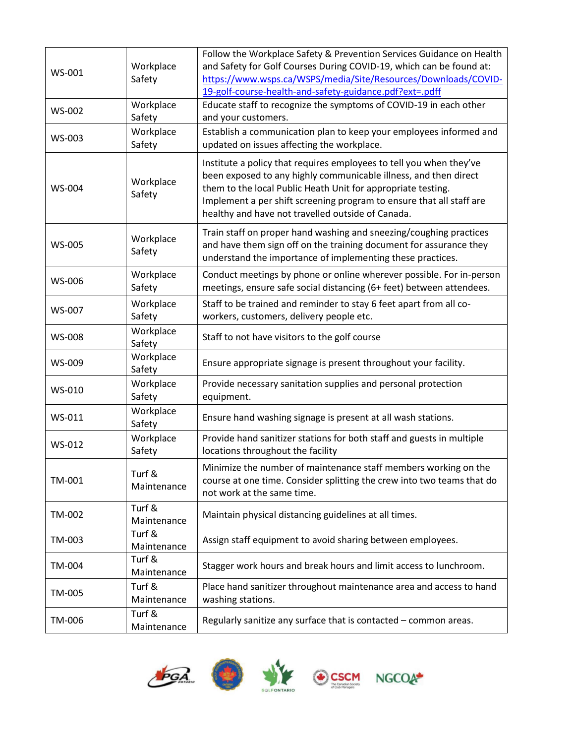| WS-001        | Workplace<br>Safety   | Follow the Workplace Safety & Prevention Services Guidance on Health<br>and Safety for Golf Courses During COVID-19, which can be found at:<br>https://www.wsps.ca/WSPS/media/Site/Resources/Downloads/COVID-<br>19-golf-course-health-and-safety-guidance.pdf?ext=.pdff                                                             |
|---------------|-----------------------|--------------------------------------------------------------------------------------------------------------------------------------------------------------------------------------------------------------------------------------------------------------------------------------------------------------------------------------|
| WS-002        | Workplace<br>Safety   | Educate staff to recognize the symptoms of COVID-19 in each other<br>and your customers.                                                                                                                                                                                                                                             |
| WS-003        | Workplace<br>Safety   | Establish a communication plan to keep your employees informed and<br>updated on issues affecting the workplace.                                                                                                                                                                                                                     |
| WS-004        | Workplace<br>Safety   | Institute a policy that requires employees to tell you when they've<br>been exposed to any highly communicable illness, and then direct<br>them to the local Public Heath Unit for appropriate testing.<br>Implement a per shift screening program to ensure that all staff are<br>healthy and have not travelled outside of Canada. |
| <b>WS-005</b> | Workplace<br>Safety   | Train staff on proper hand washing and sneezing/coughing practices<br>and have them sign off on the training document for assurance they<br>understand the importance of implementing these practices.                                                                                                                               |
| WS-006        | Workplace<br>Safety   | Conduct meetings by phone or online wherever possible. For in-person<br>meetings, ensure safe social distancing (6+ feet) between attendees.                                                                                                                                                                                         |
| WS-007        | Workplace<br>Safety   | Staff to be trained and reminder to stay 6 feet apart from all co-<br>workers, customers, delivery people etc.                                                                                                                                                                                                                       |
| <b>WS-008</b> | Workplace<br>Safety   | Staff to not have visitors to the golf course                                                                                                                                                                                                                                                                                        |
| WS-009        | Workplace<br>Safety   | Ensure appropriate signage is present throughout your facility.                                                                                                                                                                                                                                                                      |
| WS-010        | Workplace<br>Safety   | Provide necessary sanitation supplies and personal protection<br>equipment.                                                                                                                                                                                                                                                          |
| WS-011        | Workplace<br>Safety   | Ensure hand washing signage is present at all wash stations.                                                                                                                                                                                                                                                                         |
| WS-012        | Workplace<br>Safety   | Provide hand sanitizer stations for both staff and guests in multiple<br>locations throughout the facility                                                                                                                                                                                                                           |
| TM-001        | Turf &<br>Maintenance | Minimize the number of maintenance staff members working on the<br>course at one time. Consider splitting the crew into two teams that do<br>not work at the same time.                                                                                                                                                              |
| TM-002        | Turf &<br>Maintenance | Maintain physical distancing guidelines at all times.                                                                                                                                                                                                                                                                                |
| TM-003        | Turf &<br>Maintenance | Assign staff equipment to avoid sharing between employees.                                                                                                                                                                                                                                                                           |
| TM-004        | Turf &<br>Maintenance | Stagger work hours and break hours and limit access to lunchroom.                                                                                                                                                                                                                                                                    |
| TM-005        | Turf &<br>Maintenance | Place hand sanitizer throughout maintenance area and access to hand<br>washing stations.                                                                                                                                                                                                                                             |
| TM-006        | Turf &<br>Maintenance | Regularly sanitize any surface that is contacted - common areas.                                                                                                                                                                                                                                                                     |